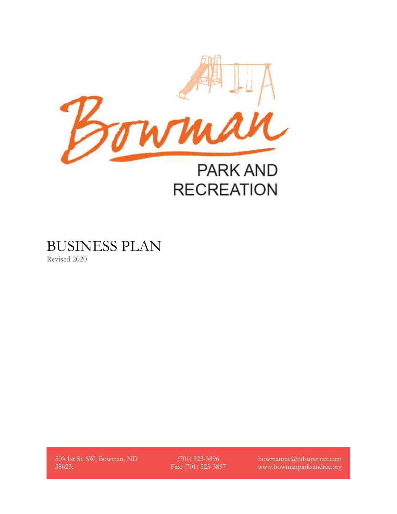

BUSINESS PLAN

Revised 2020

503 1st St. SW, Bowman, ND 58623.

(701) 523-3896 Fax: (701) 523-3897 bowmanrec@ndsupernet.com www.bowmanparksandrec.org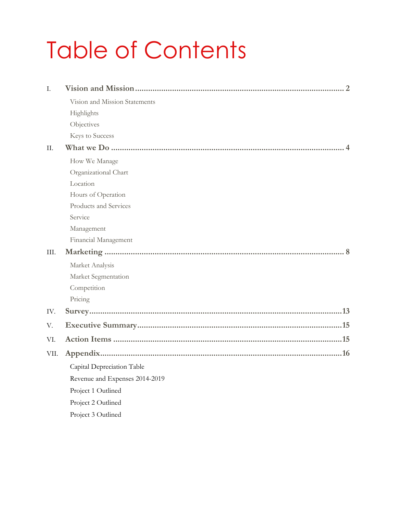# Table of Contents

| I.   | . . 2                          |
|------|--------------------------------|
|      | Vision and Mission Statements  |
|      | Highlights                     |
|      | Objectives                     |
|      | Keys to Success                |
| H.   |                                |
|      | How We Manage                  |
|      | Organizational Chart           |
|      | Location                       |
|      | Hours of Operation             |
|      | Products and Services          |
|      | Service                        |
|      | Management                     |
|      | Financial Management           |
| III. |                                |
|      | Market Analysis                |
|      | Market Segmentation            |
|      | Competition                    |
|      | Pricing                        |
| IV.  |                                |
| V.   |                                |
| VI.  |                                |
| VII. |                                |
|      | Capital Depreciation Table     |
|      | Revenue and Expenses 2014-2019 |
|      | Project 1 Outlined             |
|      | Project 2 Outlined             |
|      | Project 3 Outlined             |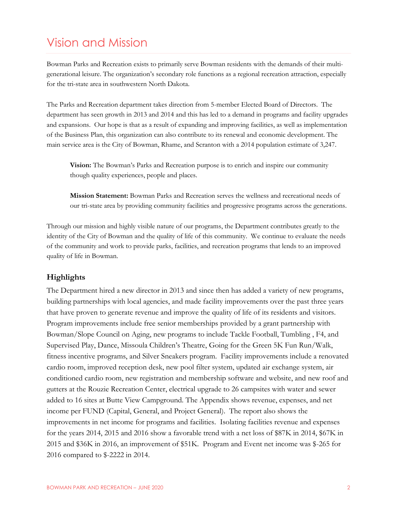# Vision and Mission

Bowman Parks and Recreation exists to primarily serve Bowman residents with the demands of their multigenerational leisure. The organization's secondary role functions as a regional recreation attraction, especially for the tri-state area in southwestern North Dakota.

The Parks and Recreation department takes direction from 5-member Elected Board of Directors. The department has seen growth in 2013 and 2014 and this has led to a demand in programs and facility upgrades and expansions. Our hope is that as a result of expanding and improving facilities, as well as implementation of the Business Plan, this organization can also contribute to its renewal and economic development. The main service area is the City of Bowman, Rhame, and Scranton with a 2014 population estimate of 3,247.

**Vision:** The Bowman's Parks and Recreation purpose is to enrich and inspire our community though quality experiences, people and places.

**Mission Statement:** Bowman Parks and Recreation serves the wellness and recreational needs of our tri-state area by providing community facilities and progressive programs across the generations.

Through our mission and highly visible nature of our programs, the Department contributes greatly to the identity of the City of Bowman and the quality of life of this community. We continue to evaluate the needs of the community and work to provide parks, facilities, and recreation programs that lends to an improved quality of life in Bowman.

## <span id="page-2-0"></span>**Highlights**

The Department hired a new director in 2013 and since then has added a variety of new programs, building partnerships with local agencies, and made facility improvements over the past three years that have proven to generate revenue and improve the quality of life of its residents and visitors. Program improvements include free senior memberships provided by a grant partnership with Bowman/Slope Council on Aging, new programs to include Tackle Football, Tumbling , F4, and Supervised Play, Dance, Missoula Children's Theatre, Going for the Green 5K Fun Run/Walk, fitness incentive programs, and Silver Sneakers program. Facility improvements include a renovated cardio room, improved reception desk, new pool filter system, updated air exchange system, air conditioned cardio room, new registration and membership software and website, and new roof and gutters at the Rouzie Recreation Center, electrical upgrade to 26 campsites with water and sewer added to 16 sites at Butte View Campground. The Appendix shows revenue, expenses, and net income per FUND (Capital, General, and Project General). The report also shows the improvements in net income for programs and facilities. Isolating facilities revenue and expenses for the years 2014, 2015 and 2016 show a favorable trend with a net loss of \$87K in 2014, \$67K in 2015 and \$36K in 2016, an improvement of \$51K. Program and Event net income was \$-265 for 2016 compared to \$-2222 in 2014.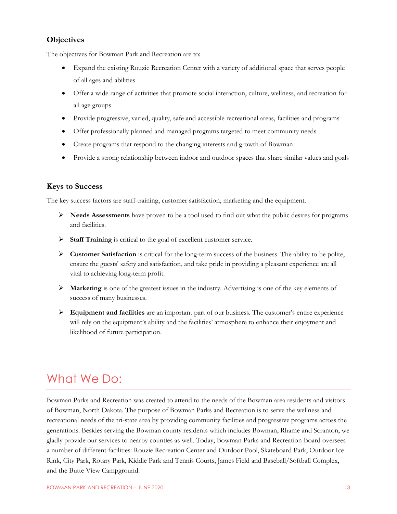#### **Objectives**

The objectives for Bowman Park and Recreation are to:

- Expand the existing Rouzie Recreation Center with a variety of additional space that serves people of all ages and abilities
- Offer a wide range of activities that promote social interaction, culture, wellness, and recreation for all age groups
- Provide progressive, varied, quality, safe and accessible recreational areas, facilities and programs
- Offer professionally planned and managed programs targeted to meet community needs
- Create programs that respond to the changing interests and growth of Bowman
- Provide a strong relationship between indoor and outdoor spaces that share similar values and goals

#### <span id="page-3-0"></span>**Keys to Success**

The key success factors are staff training, customer satisfaction, marketing and the equipment.

- ➢ **Needs Assessments** have proven to be a tool used to find out what the public desires for programs and facilities.
- ➢ **Staff Training** is critical to the goal of excellent customer service.
- ➢ **Customer Satisfaction** is critical for the long-term success of the business. The ability to be polite, ensure the guests' safety and satisfaction, and take pride in providing a pleasant experience are all vital to achieving long-term profit.
- ➢ **Marketing** is one of the greatest issues in the industry. Advertising is one of the key elements of success of many businesses.
- ➢ **Equipment and facilities** are an important part of our business. The customer's entire experience will rely on the equipment's ability and the facilities' atmosphere to enhance their enjoyment and likelihood of future participation.

# What We Do:

Bowman Parks and Recreation was created to attend to the needs of the Bowman area residents and visitors of Bowman, North Dakota. The purpose of Bowman Parks and Recreation is to serve the wellness and recreational needs of the tri-state area by providing community facilities and progressive programs across the generations. Besides serving the Bowman county residents which includes Bowman, Rhame and Scranton, we gladly provide our services to nearby counties as well. Today, Bowman Parks and Recreation Board oversees a number of different facilities: Rouzie Recreation Center and Outdoor Pool, Skateboard Park, Outdoor Ice Rink, City Park, Rotary Park, Kiddie Park and Tennis Courts, James Field and Baseball/Softball Complex, and the Butte View Campground.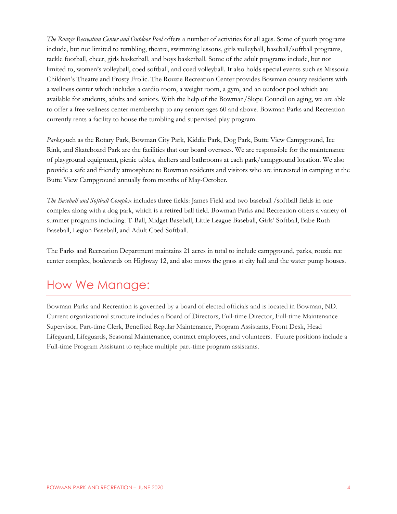*The Rouzie Recreation Center and Outdoor Pool* offers a number of activities for all ages. Some of youth programs include, but not limited to tumbling, theatre, swimming lessons, girls volleyball, baseball/softball programs, tackle football, cheer, girls basketball, and boys basketball. Some of the adult programs include, but not limited to, women's volleyball, coed softball, and coed volleyball. It also holds special events such as Missoula Children's Theatre and Frosty Frolic. The Rouzie Recreation Center provides Bowman county residents with a wellness center which includes a cardio room, a weight room, a gym, and an outdoor pool which are available for students, adults and seniors. With the help of the Bowman/Slope Council on aging, we are able to offer a free wellness center membership to any seniors ages 60 and above. Bowman Parks and Recreation currently rents a facility to house the tumbling and supervised play program.

*Parks* such as the Rotary Park, Bowman City Park, Kiddie Park, Dog Park, Butte View Campground, Ice Rink, and Skateboard Park are the facilities that our board oversees. We are responsible for the maintenance of playground equipment, picnic tables, shelters and bathrooms at each park/campground location. We also provide a safe and friendly atmosphere to Bowman residents and visitors who are interested in camping at the Butte View Campground annually from months of May-October.

*The Baseball and Softball Complex* includes three fields: James Field and two baseball /softball fields in one complex along with a dog park, which is a retired ball field. Bowman Parks and Recreation offers a variety of summer programs including: T-Ball, Midget Baseball, Little League Baseball, Girls' Softball, Babe Ruth Baseball, Legion Baseball, and Adult Coed Softball.

The Parks and Recreation Department maintains 21 acres in total to include campground, parks, rouzie rec center complex, boulevards on Highway 12, and also mows the grass at city hall and the water pump houses.

# How We Manage:

Bowman Parks and Recreation is governed by a board of elected officials and is located in Bowman, ND. Current organizational structure includes a Board of Directors, Full-time Director, Full-time Maintenance Supervisor, Part-time Clerk, Benefited Regular Maintenance, Program Assistants, Front Desk, Head Lifeguard, Lifeguards, Seasonal Maintenance, contract employees, and volunteers. Future positions include a Full-time Program Assistant to replace multiple part-time program assistants.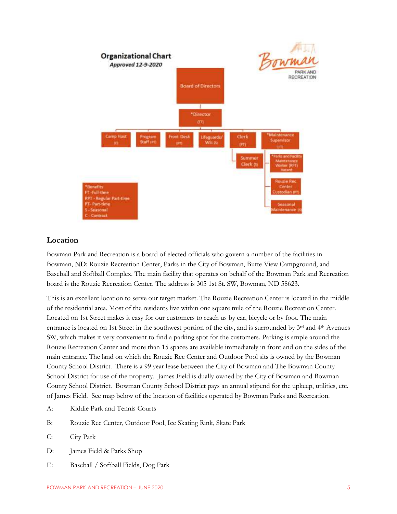

#### **Location**

Bowman Park and Recreation is a board of elected officials who govern a number of the facilities in Bowman, ND: Rouzie Recreation Center, Parks in the City of Bowman, Butte View Campground, and Baseball and Softball Complex. The main facility that operates on behalf of the Bowman Park and Recreation board is the Rouzie Recreation Center. The address is 305 1st St. SW, Bowman, ND 58623.

This is an excellent location to serve our target market. The Rouzie Recreation Center is located in the middle of the residential area. Most of the residents live within one square mile of the Rouzie Recreation Center. Located on 1st Street makes it easy for our customers to reach us by car, bicycle or by foot. The main entrance is located on 1st Street in the southwest portion of the city, and is surrounded by  $3^{rd}$  and  $4^{th}$  Avenues SW, which makes it very convenient to find a parking spot for the customers. Parking is ample around the Rouzie Recreation Center and more than 15 spaces are available immediately in front and on the sides of the main entrance. The land on which the Rouzie Rec Center and Outdoor Pool sits is owned by the Bowman County School District. There is a 99 year lease between the City of Bowman and The Bowman County School District for use of the property. James Field is dually owned by the City of Bowman and Bowman County School District. Bowman County School District pays an annual stipend for the upkeep, utilities, etc. of James Field. See map below of the location of facilities operated by Bowman Parks and Recreation.

- <span id="page-5-0"></span>A: Kiddie Park and Tennis Courts
- B: Rouzie Rec Center, Outdoor Pool, Ice Skating Rink, Skate Park
- C: City Park
- D: James Field & Parks Shop
- E: Baseball / Softball Fields, Dog Park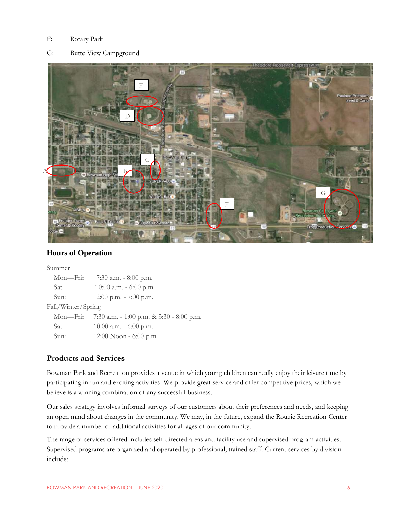#### F: Rotary Park

G: Butte View Campground



#### **Hours of Operation**

<span id="page-6-0"></span>

| Summer             |                                                   |  |  |  |  |  |  |  |  |
|--------------------|---------------------------------------------------|--|--|--|--|--|--|--|--|
| Mon—Fri:           | 7:30 a.m. $-8:00$ p.m.                            |  |  |  |  |  |  |  |  |
| <b>Sat</b>         | $10:00$ a.m. $-6:00$ p.m.                         |  |  |  |  |  |  |  |  |
| Sun:               | $2:00$ p.m. $-7:00$ p.m.                          |  |  |  |  |  |  |  |  |
| Fall/Winter/Spring |                                                   |  |  |  |  |  |  |  |  |
|                    | Mon-Fri: 7:30 a.m. - 1:00 p.m. & 3:30 - 8:00 p.m. |  |  |  |  |  |  |  |  |
| Sat:               | $10:00$ a.m. $-6:00$ p.m.                         |  |  |  |  |  |  |  |  |
| Sun:               | $12:00$ Noon - 6:00 p.m.                          |  |  |  |  |  |  |  |  |

## **Products and Services**

Bowman Park and Recreation provides a venue in which young children can really enjoy their leisure time by participating in fun and exciting activities. We provide great service and offer competitive prices, which we believe is a winning combination of any successful business.

Our sales strategy involves informal surveys of our customers about their preferences and needs, and keeping an open mind about changes in the community. We may, in the future, expand the Rouzie Recreation Center to provide a number of additional activities for all ages of our community.

The range of services offered includes self-directed areas and facility use and supervised program activities. Supervised programs are organized and operated by professional, trained staff. Current services by division include: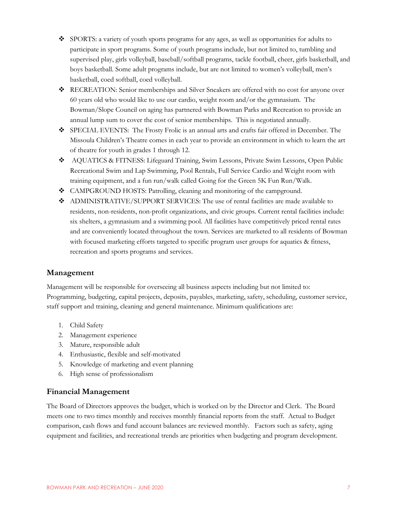- ❖ SPORTS: a variety of youth sports programs for any ages, as well as opportunities for adults to participate in sport programs. Some of youth programs include, but not limited to, tumbling and supervised play, girls volleyball, baseball/softball programs, tackle football, cheer, girls basketball, and boys basketball. Some adult programs include, but are not limited to women's volleyball, men's basketball, coed softball, coed volleyball.
- ❖ RECREATION: Senior memberships and Silver Sneakers are offered with no cost for anyone over 60 years old who would like to use our cardio, weight room and/or the gymnasium. The Bowman/Slope Council on aging has partnered with Bowman Parks and Recreation to provide an annual lump sum to cover the cost of senior memberships. This is negotiated annually.
- ❖ SPECIAL EVENTS: The Frosty Frolic is an annual arts and crafts fair offered in December. The Missoula Children's Theatre comes in each year to provide an environment in which to learn the art of theatre for youth in grades 1 through 12.
- ❖ AQUATICS & FITNESS: Lifeguard Training, Swim Lessons, Private Swim Lessons, Open Public Recreational Swim and Lap Swimming, Pool Rentals, Full Service Cardio and Weight room with training equipment, and a fun run/walk called Going for the Green 5K Fun Run/Walk.
- ❖ CAMPGROUND HOSTS: Patrolling, cleaning and monitoring of the campground.
- ❖ ADMINISTRATIVE/SUPPORT SERVICES: The use of rental facilities are made available to residents, non-residents, non-profit organizations, and civic groups. Current rental facilities include: six shelters, a gymnasium and a swimming pool. All facilities have competitively priced rental rates and are conveniently located throughout the town. Services are marketed to all residents of Bowman with focused marketing efforts targeted to specific program user groups for aquatics & fitness, recreation and sports programs and services.

#### <span id="page-7-0"></span>**Management**

Management will be responsible for overseeing all business aspects including but not limited to: Programming, budgeting, capital projects, deposits, payables, marketing, safety, scheduling, customer service, staff support and training, cleaning and general maintenance. Minimum qualifications are:

- 1. Child Safety
- 2. Management experience
- 3. Mature, responsible adult
- 4. Enthusiastic, flexible and self-motivated
- 5. Knowledge of marketing and event planning
- 6. High sense of professionalism

#### <span id="page-7-1"></span>**Financial Management**

The Board of Directors approves the budget, which is worked on by the Director and Clerk. The Board meets one to two times monthly and receives monthly financial reports from the staff. Actual to Budget comparison, cash flows and fund account balances are reviewed monthly. Factors such as safety, aging equipment and facilities, and recreational trends are priorities when budgeting and program development.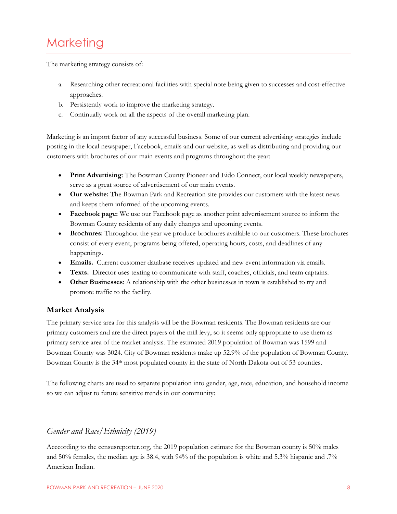# <span id="page-8-0"></span>**Marketing**

The marketing strategy consists of:

- a. Researching other recreational facilities with special note being given to successes and cost-effective approaches.
- b. Persistently work to improve the marketing strategy.
- c. Continually work on all the aspects of the overall marketing plan.

Marketing is an import factor of any successful business. Some of our current advertising strategies include posting in the local newspaper, Facebook, emails and our website, as well as distributing and providing our customers with brochures of our main events and programs throughout the year:

- **Print Advertising**: The Bowman County Pioneer and Eido Connect, our local weekly newspapers, serve as a great source of advertisement of our main events.
- **Our website:** The Bowman Park and Recreation site provides our customers with the latest news and keeps them informed of the upcoming events.
- **Facebook page:** We use our Facebook page as another print advertisement source to inform the Bowman County residents of any daily changes and upcoming events.
- **Brochures:** Throughout the year we produce brochures available to our customers. These brochures consist of every event, programs being offered, operating hours, costs, and deadlines of any happenings.
- **Emails.** Current customer database receives updated and new event information via emails.
- **Texts.** Director uses texting to communicate with staff, coaches, officials, and team captains.
- **Other Businesses**: A relationship with the other businesses in town is established to try and promote traffic to the facility.

#### <span id="page-8-1"></span>**Market Analysis**

The primary service area for this analysis will be the Bowman residents. The Bowman residents are our primary customers and are the direct payers of the mill levy, so it seems only appropriate to use them as primary service area of the market analysis. The estimated 2019 population of Bowman was 1599 and Bowman County was 3024. City of Bowman residents make up 52.9% of the population of Bowman County. Bowman County is the 34<sup>th</sup> most populated county in the state of North Dakota out of 53 counties.

The following charts are used to separate population into gender, age, race, education, and household income so we can adjust to future sensitive trends in our community:

# *Gender and Race/Ethnicity (2019)*

Acccording to the censusreporter.org, the 2019 population estimate for the Bowman county is 50% males and 50% females, the median age is 38.4, with 94% of the population is white and 5.3% hispanic and .7% American Indian.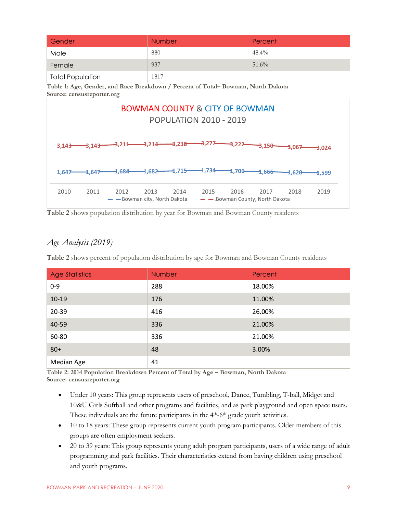| Gender                                                                                                                 | <b>Number</b>                                                                    | Percent  |  |  |  |  |  |  |  |  |
|------------------------------------------------------------------------------------------------------------------------|----------------------------------------------------------------------------------|----------|--|--|--|--|--|--|--|--|
| Male                                                                                                                   | 880                                                                              | $48.4\%$ |  |  |  |  |  |  |  |  |
| Female                                                                                                                 | 937                                                                              | $51.6\%$ |  |  |  |  |  |  |  |  |
| <b>Total Population</b>                                                                                                | 1817                                                                             |          |  |  |  |  |  |  |  |  |
| Source: censusreporter.org                                                                                             | Table 1: Age, Gender, and Race Breakdown / Percent of Total–Bowman, North Dakota |          |  |  |  |  |  |  |  |  |
| <b>BOWMAN COUNTY &amp; CITY OF BOWMAN</b>                                                                              |                                                                                  |          |  |  |  |  |  |  |  |  |
|                                                                                                                        | <b>POPULATION 2010 - 2019</b>                                                    |          |  |  |  |  |  |  |  |  |
|                                                                                                                        |                                                                                  |          |  |  |  |  |  |  |  |  |
| 3.277<br>——3,214———3,238<br>$-3,222 -3,150$<br>-3,211 <del>-</del><br>3,143<br>-3.143<br>$\rightarrow$ 067<br>$-3.024$ |                                                                                  |          |  |  |  |  |  |  |  |  |



**Table 2** shows population distribution by year for Bowman and Bowman County residents

# *Age Analysis (2019)*

**Table 2** shows percent of population distribution by age for Bowman and Bowman County residents

| <b>Age Statistics</b> | Number | Percent |
|-----------------------|--------|---------|
| $0 - 9$               | 288    | 18.00%  |
| $10-19$               | 176    | 11.00%  |
| 20-39                 | 416    | 26.00%  |
| 40-59                 | 336    | 21.00%  |
| 60-80                 | 336    | 21.00%  |
| $80+$                 | 48     | 3.00%   |
| Median Age            | 41     |         |

**Table 2: 2014 Population Breakdown Percent of Total by Age – Bowman, North Dakota Source: censusreporter.org**

- Under 10 years: This group represents users of preschool, Dance, Tumbling, T-ball, Midget and 10&U Girls Softball and other programs and facilities, and as park playground and open space users. These individuals are the future participants in the 4<sup>th</sup>-6<sup>th</sup> grade youth activities.
- 10 to 18 years: These group represents current youth program participants. Older members of this groups are often employment seekers.
- 20 to 39 years: This group represents young adult program participants, users of a wide range of adult programming and park facilities. Their characteristics extend from having children using preschool and youth programs.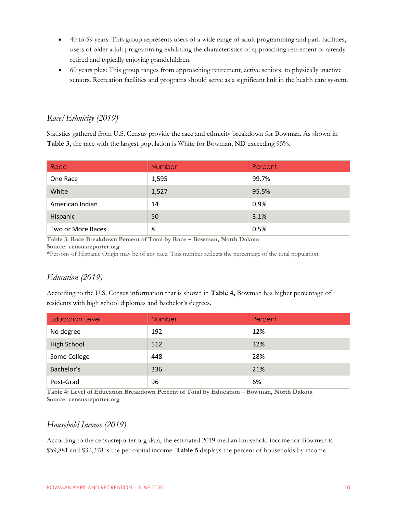- 40 to 59 years: This group represents users of a wide range of adult programming and park facilities, users of older adult programming exhibiting the characteristics of approaching retirement or already retired and typically enjoying grandchildren.
- 60 years plus: This group ranges from approaching retirement, active seniors, to physically inactive seniors. Recreation facilities and programs should serve as a significant link in the health care system.

# *Race/Ethnicity (2019)*

Statistics gathered from U.S. Census provide the race and ethnicity breakdown for Bowman. As shown in **Table 3,** the race with the largest population is White for Bowman, ND exceeding 95%.

| Race              | <b>Number</b> | Percent |
|-------------------|---------------|---------|
| One Race          | 1,595         | 99.7%   |
| White             | 1,527         | 95.5%   |
| American Indian   | 14            | 0.9%    |
| Hispanic          | 50            | 3.1%    |
| Two or More Races | 8             | 0.5%    |

**Table 3: Race Breakdown Percent of Total by Race – Bowman, North Dakota Source: censusreporter.org**

**\***Persons of Hispanic Origin may be of any race. This number reflects the percentage of the total population.

# *Education (2019)*

According to the U.S. Census information that is shown in **Table 4,** Bowman has higher percentage of residents with high school diplomas and bachelor's degrees.

| <b>Education Level</b> | Number | Percent |
|------------------------|--------|---------|
| No degree              | 192    | 12%     |
| High School            | 512    | 32%     |
| Some College           | 448    | 28%     |
| Bachelor's             | 336    | 21%     |
| Post-Grad              | 96     | 6%      |

**Table 4: Level of Education Breakdown Percent of Total by Education – Bowman, North Dakota Source: censusreporter.org**

## *Household Income (2019)*

According to the censusreporter.org data, the estimated 2019 median household income for Bowman is \$59,881 and \$32,378 is the per capital income. **Table 5** displays the percent of households by income.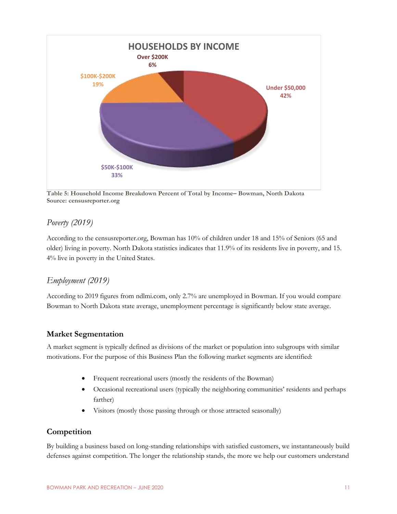

**Table 5: Household Income Breakdown Percent of Total by Income– Bowman, North Dakota Source: censusreporter.org**

## *Poverty (2019)*

According to the censusreporter.org, Bowman has 10% of children under 18 and 15% of Seniors (65 and older) living in poverty. North Dakota statistics indicates that 11.9% of its residents live in poverty, and 15. 4% live in poverty in the United States.

# *Employment (2019)*

According to 2019 figures from ndlmi.com, only 2.7% are unemployed in Bowman. If you would compare Bowman to North Dakota state average, unemployment percentage is significantly below state average.

#### <span id="page-11-0"></span>**Market Segmentation**

A market segment is typically defined as divisions of the market or population into subgroups with similar motivations. For the purpose of this Business Plan the following market segments are identified:

- Frequent recreational users (mostly the residents of the Bowman)
- Occasional recreational users (typically the neighboring communities' residents and perhaps farther)
- Visitors (mostly those passing through or those attracted seasonally)

## <span id="page-11-1"></span>**Competition**

By building a business based on long-standing relationships with satisfied customers, we instantaneously build defenses against competition. The longer the relationship stands, the more we help our customers understand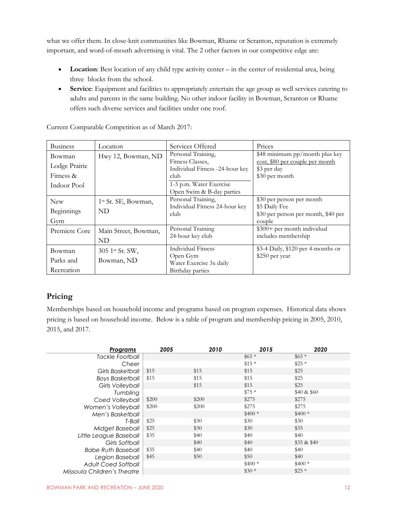what we offer them. In close-knit communities like Bowman, Rhame or Scranton, reputation is extremely important, and word-of-mouth advertising is vital. The 2 other factors in our competitive edge are:

- Location: Best location of any child type activity center in the center of residential area, being three blocks from the school.
- **Service**: Equipment and facilities to appropriately entertain the age group as well services catering to adults and parents in the same building. No other indoor facility in Bowman, Scranton or Rhame offers such diverse services and facilities under one roof.

| <b>Business</b>                                     | Location                               | Services Offered                                                                                                                          | Prices                                                                                             |
|-----------------------------------------------------|----------------------------------------|-------------------------------------------------------------------------------------------------------------------------------------------|----------------------------------------------------------------------------------------------------|
| Bowman<br>Lodge Prairie<br>Fitness &<br>Indoor Pool | Hwy 12, Bowman, ND                     | Personal Training,<br>Fitness Classes.<br>Individual Fitness -24-hour key<br>club<br>1-3 p.m. Water Exercise<br>Open Swim & B-day parties | \$48 minimum pp/month plus key<br>cost, \$80 per couple per month<br>\$3 per day<br>\$30 per month |
| <b>New</b><br>Beginnings<br>Gym                     | 1 <sup>st</sup> St. SE, Bowman,<br>ND. | Personal Training,<br>Individual Fitness 24-hour key<br>club                                                                              | \$30 per person per month<br>\$5 Daily Fee<br>\$30 per person per month, \$40 per<br>couple        |
| Premiere Core                                       | Main Street, Bowman,<br>ND             | Personal Training<br>24-hour key club                                                                                                     | \$300+ per month individual<br>includes membership                                                 |
| Bowman<br>Parks and<br>Recreation                   | 305 1st St. SW,<br>Bowman, ND          | Individual Fitness<br>Open Gym<br>Water Exercise 3x daily<br>Birthday parties                                                             | \$3-4 Daily, \$120 per 4-months or<br>\$250 per year                                               |

Current Comparable Competition as of March 2017:

# <span id="page-12-0"></span>**Pricing**

Memberships based on household income and programs based on program expenses. Historical data shows pricing is based on household income. Below is a table of program and membership pricing in 2005, 2010, 2015, and 2017.

| Programs                    | 2005  | 2010  | 2015    | 2020         |
|-----------------------------|-------|-------|---------|--------------|
| Tackle Football             |       |       | $$65*$  | $$65*$       |
| Cheer                       |       |       | $$15*$  | $$25*$       |
| Girls Basketball            | \$15  | \$15  | \$15    | \$25         |
| <b>Boys Basketball</b>      | \$15  | \$15  | \$15    | \$25         |
| <b>Girls Volleyball</b>     |       | \$15  | \$15    | \$25         |
| Tumbling                    |       |       | $$75*$  | \$40 & \$60  |
| Coed Volleyball             | \$200 | \$200 | \$275   | \$275        |
| Women's Volleyball          | \$200 | \$200 | \$275   | \$275        |
| Men's Basketball            |       |       | $$400*$ | $$400*$      |
| T-Ball                      | \$25  | \$30  | \$30    | \$30         |
| Midget Baseball             | \$25  | \$30  | \$30    | \$35         |
| Little League Baseball      | \$35  | \$40  | \$40    | \$40         |
| Girls Softball              |       | \$40  | \$40    | $$35 \& $40$ |
| <b>Babe Ruth Baseball</b>   | \$35  | \$40  | \$40    | \$40         |
| Legion Baseball             | \$45  | \$50  | \$50    | \$40         |
| <b>Adult Coed Softball</b>  |       |       | $$400*$ | $$400*$      |
| Missoula Children's Theatre |       |       | $$30*$  | $$25*$       |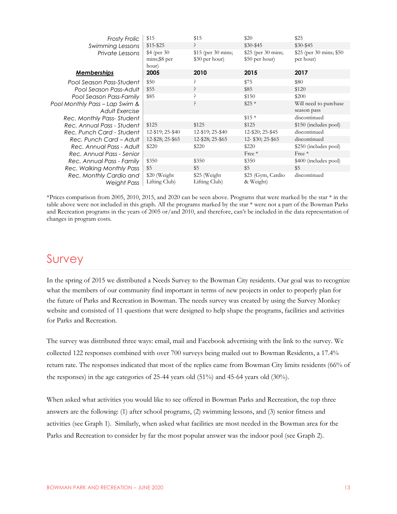| <b>Frosty Frolic</b>                   | \$15                                  | \$15                                  | \$20                                  | \$25                                  |
|----------------------------------------|---------------------------------------|---------------------------------------|---------------------------------------|---------------------------------------|
| Swimming Lessons                       | $$15 - $25$                           |                                       | $$30-$45$                             | $$30-$45$                             |
| Private Lessons                        | \$4 (per 30)<br>mins;\$8 per<br>hour) | $$15$ (per 30 mins;<br>\$30 per hour) | $$25$ (per 30 mins;<br>\$50 per hour) | \$25 (per 30 mins; \$50)<br>per hour) |
| <b>Memberships</b>                     | 2005                                  | 2010                                  | 2015                                  | 2017                                  |
| Pool Season Pass-Student               | \$50                                  |                                       | \$75                                  | \$80                                  |
| Pool Season Pass-Adult                 | \$55                                  | ?                                     | \$85                                  | \$120                                 |
| Pool Season Pass-Family                | \$85                                  |                                       | \$150                                 | \$200                                 |
| Pool Monthly Pass – Lap Swim &         |                                       | ?                                     | $$25*$                                | Will need to purchase                 |
| Adult Exercise                         |                                       |                                       |                                       | season pass                           |
| Rec. Monthly Pass-Student              |                                       |                                       | $$15*$                                | discontinued                          |
| Rec. Annual Pass - Student             | \$125                                 | \$125                                 | \$125                                 | \$150 (includes pool)                 |
| Rec. Punch Card - Student              | 12-\$19; 25-\$40                      | 12-\$19; 25-\$40                      | 12-\$20; 25-\$45                      | discontinued                          |
| Rec. Punch Card - Adult                | 12-\$28; 25-\$65                      | 12-\$28; 25-\$65                      | $12 - $30; 25 - $65$                  | discontinued                          |
| Rec. Annual Pass - Adult               | \$220                                 | \$220                                 | \$220                                 | \$250 (includes pool)                 |
| Rec. Annual Pass - Senior              |                                       |                                       | Free $*$                              | $Free*$                               |
| Rec. Annual Pass - Family              | \$350                                 | \$350                                 | \$350                                 | \$400 (includes pool)                 |
| Rec. Walking Monthly Pass              | \$5                                   | \$5                                   | \$5                                   | \$5                                   |
| Rec. Monthly Cardio and<br>Weight Pass | \$20 (Weight)<br>Lifting Club)        | \$25 (Weight)<br>Lifting Club)        | \$25 (Gym, Cardio<br>& Weight)        | discontinued                          |

\*Prices comparison from 2005, 2010, 2015, and 2020 can be seen above. Programs that were marked by the star  $*$  in the table above were not included in this graph. All the programs marked by the star \* were not a part of the Bowman Parks and Recreation programs in the years of 2005 or/and 2010, and therefore, can't be included in the data representation of changes in program costs.

# Survey

In the spring of 2015 we distributed a Needs Survey to the Bowman City residents. Our goal was to recognize what the members of our community find important in terms of new projects in order to properly plan for the future of Parks and Recreation in Bowman. The needs survey was created by using the Survey Monkey website and consisted of 11 questions that were designed to help shape the programs, facilities and activities for Parks and Recreation.

The survey was distributed three ways: email, mail and Facebook advertising with the link to the survey. We collected 122 responses combined with over 700 surveys being mailed out to Bowman Residents, a 17.4% return rate. The responses indicated that most of the replies came from Bowman City limits residents (66% of the responses) in the age categories of 25-44 years old (51%) and 45-64 years old (30%).

When asked what activities you would like to see offered in Bowman Parks and Recreation, the top three answers are the following: (1) after school programs, (2) swimming lessons, and (3) senior fitness and activities (see Graph 1). Similarly, when asked what facilities are most needed in the Bowman area for the Parks and Recreation to consider by far the most popular answer was the indoor pool (see Graph 2).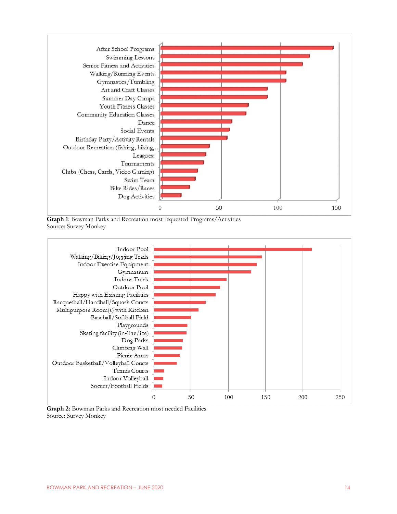

**Graph 1**: Bowman Parks and Recreation most requested Programs/Activities Source: Survey Monkey



**Graph 2:** Bowman Parks and Recreation most needed Facilities Source: Survey Monkey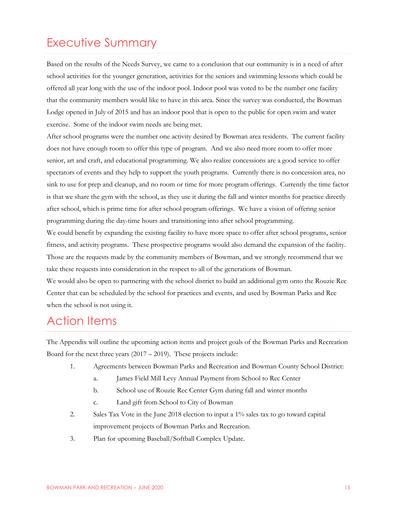# Executive Summary

Based on the results of the Needs Survey, we came to a conclusion that our community is in a need of after school activities for the younger generation, activities for the seniors and swimming lessons which could be offered all year long with the use of the indoor pool. Indoor pool was voted to be the number one facility that the community members would like to have in this area. Since the survey was conducted, the Bowman Lodge opened in July of 2015 and has an indoor pool that is open to the public for open swim and water exercise. Some of the indoor swim needs are being met.

After school programs were the number one activity desired by Bowman area residents. The current facility does not have enough room to offer this type of program. And we also need more room to offer more senior, art and craft, and educational programming. We also realize concessions are a good service to offer spectators of events and they help to support the youth programs. Currently there is no concession area, no sink to use for prep and cleanup, and no room or time for more program offerings. Currently the time factor is that we share the gym with the school, as they use it during the fall and winter months for practice directly after school, which is prime time for after school program offerings. We have a vision of offering senior programming during the day-time hours and transitioning into after school programming.

We could benefit by expanding the existing facility to have more space to offer after school programs, senior fitness, and activity programs. These prospective programs would also demand the expansion of the facility. Those are the requests made by the community members of Bowman, and we strongly recommend that we take these requests into consideration in the respect to all of the generations of Bowman.

We would also be open to partnering with the school district to build an additional gym onto the Rouzie Rec Center that can be scheduled by the school for practices and events, and used by Bowman Parks and Rec when the school is not using it.

# Action Items

The Appendix will outline the upcoming action items and project goals of the Bowman Parks and Recreation Board for the next three years  $(2017 – 2019)$ . These projects include:

- 1. Agreements between Bowman Parks and Recreation and Bowman County School District:
	- a. James Field Mill Levy Annual Payment from School to Rec Center
	- b. School use of Rouzie Rec Center Gym during fall and winter months
	- c. Land gift from School to City of Bowman
- 2. Sales Tax Vote in the June 2018 election to input a 1% sales tax to go toward capital improvement projects of Bowman Parks and Recreation.
- 3. Plan for upcoming Baseball/Softball Complex Update.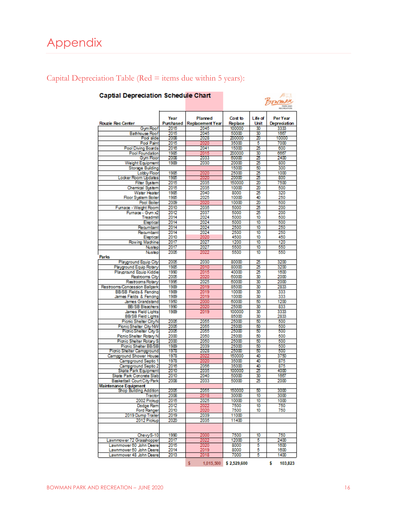# <span id="page-16-0"></span>Appendix

| <b>Captial Depreciation Schedule Chart</b>              |                   |                                    |                    |                 | AH JUA<br>Sowman         |
|---------------------------------------------------------|-------------------|------------------------------------|--------------------|-----------------|--------------------------|
| <b>Rouzie Rec Center</b>                                | Year<br>Purchased | Planned<br><b>Replacement Year</b> | Cost to<br>Replace | Life of<br>Unit | Per Year<br>Depreciation |
| Gym Roof                                                | 2015              | 2045                               | 100000             | 30              | 3333                     |
| <b>Bathhouse Roof</b>                                   | 2015              | 2045                               | 50000              | 30              | 1667                     |
| Pod slide                                               | 2008              | 2028                               | 200000<br>35000    | 20<br>5         | 10000<br>7000            |
| <b>Pool Paint</b><br>Pool Diving Boards                 | 2015<br>2016      | 2020<br>2041                       | 15000              | 25              | 600                      |
| <b>Pool Foundation</b>                                  | 1985              | 2015                               | 200000             | 30              | 6667                     |
| Gym Floor                                               | 2008              | 2033                               | 60000              | 25              | 2400                     |
| Weight Equipment                                        | 1989              | 2030                               | 20000              | 25              | 800                      |
| <b>Storage Building</b>                                 |                   |                                    | 15000              | 50              | 300                      |
| Lobby Floor                                             | 1985              | 2020                               | 25000              | $\frac{25}{25}$ | 1000                     |
| Locker Room Updates                                     | 1985              | 2020                               | 20000              |                 | 800                      |
| <b>Filter System</b>                                    | 2015              | 2035                               | 150000             | 20              | 7500                     |
| Chemical System                                         | 2015              | 2035                               | 10000              | 20              | 500                      |
| Water Heater                                            | 1985<br>1985      | 2040<br>2025                       | 8000<br>10000      | 25<br>40        | 320<br>250               |
| <b>Floor System Boiler</b><br><b>Pool Boiler</b>        | 2009              | 2020                               | 10000              | 20              | 500                      |
| Furnace - Weight Room                                   | 2010              | 2035                               | 5000               | 25              | 200                      |
| Furnace - Gym x2                                        | 2012              | 2037                               | 5000               | 25              | 200                      |
| Treadmill                                               | 2014              | 2024                               | 5000               | 10              | 500                      |
| Eleptical                                               | 2014              | 2024                               | 5000               | 10              | 500                      |
| Recumbant                                               | 2014              | 2024                               | 2500               | 10              | 250                      |
| Recumbant                                               | 2014              | 2024                               | 2500               | 10              | 250                      |
| Eleptical                                               | 2010              | 2020                               | 4500               | 10              | 450                      |
| Rowing Machine                                          | 2017              | 2027                               | 1200               | 10              | 120                      |
| <b>Nustep</b>                                           | 2017              | 2027                               | 5500               | 10              | 550                      |
| Nustep<br>Parks                                         | 2005              | 2022                               | 5500               | 10              | 550                      |
| Playground Equip City                                   | 2005              | 2030                               | 80000              | 25<br>25        | 3200                     |
| Playground Equip Rotary<br>Playground Equip Kiddie      | 1985<br>1990      | 2010<br>2015                       | 80000<br>40000     | 25              | 3200<br>1600             |
| Restrooms City                                          | 2005              | 2020                               | 60000              | 30              | 2000                     |
| Restrooms Rotary                                        | 1995              | 2025                               | 60000              | 30              | 2000                     |
| Restrooms/Concession Ballpark                           | 1989              | 2019                               | 85000              | 30              | 2833                     |
| <b>BB/SB Fields &amp; Fencing</b>                       | 1989              | 2019                               | 10000              | 30              | 333                      |
| James Fields & Fencing                                  | 1989              | 2019                               | 10000              | 30              | 333                      |
| James Grandstand                                        | 1950              | 2000                               | 60000              | 50              | 1200                     |
| <b>BB/SB Bleachers</b>                                  | 1990              | 2020                               | 25000              | 30              | 833                      |
| James Field Lights                                      | 1989              | 2019                               | 100000<br>85000    | 30<br>30        | 3333<br>2833             |
| <b>BB/SB Field Lights</b><br>Picnic Shelter CityN       | 2005              | 2055                               | 25000              | 50              | 500                      |
| Picnic Shelter City NW                                  | 2005              | 2055                               | 25000              | 50              | 500                      |
| Pionic Shelter City S                                   | 2005              | 2055                               | 25000              | 50              | 500                      |
| Picnic Shelter Rotary N                                 | 2000              | 2050                               | 25000              | 50              | 500                      |
| <b>Pionic Shelter Rotary S</b>                          | 2000              | 2050                               | 25000              | 50              | 500                      |
| Pionic Shelter BB/SB                                    | 1989              | 2039                               | 25000              | 50              | 500                      |
| <b>Picnic Shelter Campground</b>                        | 1978              | 2028                               | 25000              | 50              | 500                      |
| Campground Shower House                                 | 1978              | 2022                               | 150000             | 40              | 3750                     |
| Campground Septic 1                                     | 1978              | 2020                               | 35000              | 40              | 875                      |
| Campground Septic 2                                     | 2016              | 2056<br>2035                       | 35000              | 40              | 875                      |
| <b>Skate Park Equipment</b><br>Skate Park Concrete Slab | 2010<br>2010      | 2040                               | 100000<br>50000    | 25<br>30        | 4000<br>1667             |
| <b>Basketball Court City Park</b>                       | 2008              | 2033                               | 50000              |                 | 2000                     |
| <b>Maintenance Equipment</b>                            |                   |                                    |                    |                 |                          |
| <b>Shop Building Addition</b>                           | 2005              | 2055                               | 150000             | 50              | 3000                     |
| Tractor                                                 | 2008              | 2018                               | 30000              | $\overline{10}$ | 3000                     |
| 2002 Pickup                                             | 2015              | 2025                               | 10000              | 10              | 1000                     |
| Dodge Ram                                               | 2012              | 2022                               | 7500               | 10              | 750                      |
| <b>Ford Ranger</b>                                      | 2010              | 2020                               | 7500               | 10              | 750                      |
| 2019 Dump Trailer                                       | 2019              | 2039                               | 11000              |                 |                          |
| 2012 Pickup                                             | 2020              | 2035                               | 11400              |                 |                          |
|                                                         |                   |                                    |                    |                 |                          |
| ChevyS-10                                               | 1990              | 2000                               | 7500               | 10              | 750                      |
| Lawnmower 72 Grasshopper                                | 2017<br>2015      | 2022<br>2020                       | 12000<br>8000      | 5<br>5          | 2400<br>1600             |
| Lawnmower 60 John Deere<br>Lawnmower 60 John Deere      | 2014              | 2019                               | 8000               | 5               | 1600                     |
| Lawnmower 48 John Deere                                 | 2013              | 2018                               | 7000               | 5               | 1400                     |
|                                                         |                   |                                    |                    |                 |                          |

 $$1,015,500$   $$2,529,600$   $$103,823$ 

# Capital Depreciation Table ( $Red =$  items due within 5 years):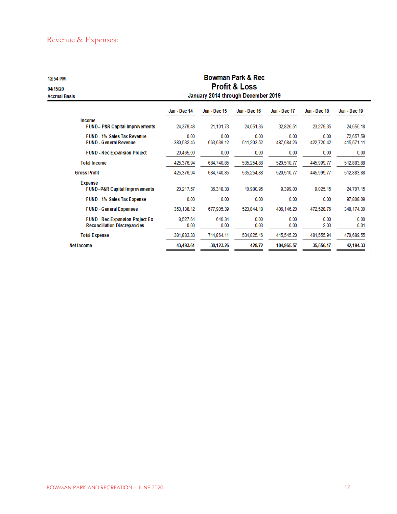# Revenue & Expenses:

| 12:54 PM<br>04/15/20<br><b>Accrual Basis</b>                           | January 2014 through December 2019  |                    |                    |                    |                    |                         |  |
|------------------------------------------------------------------------|-------------------------------------|--------------------|--------------------|--------------------|--------------------|-------------------------|--|
|                                                                        | Jan - Dec 14                        | Jan - Dec 15       | Jan - Dec 16       | Jan - Dec 17       | Jan - Dec 18       | Jan - Dec 19            |  |
| Income<br><b>FUND-P&amp;R Capital Improvements</b>                     | 24.379.48                           | 21.101.73          | 24.051.36          | 32.826.51          | 23.279.35          | 24.655.18               |  |
| <b>FUND - 1% Sales Tax Revenue</b><br><b>FUND - General Revenue</b>    | 0.00<br>380.532.46                  | 0.00<br>663.639.12 | 0.00<br>511.203.52 | 0.00<br>487.684.26 | 0.00<br>422.720.42 | 72.657.59<br>415.571.11 |  |
| <b>FUND - Rec Expansion Project</b>                                    | 20.465.00                           | 0.00               | 0.00               | 0.00               | 0.00               | 0.00                    |  |
| <b>Total Income</b>                                                    | 425.376.94                          | 684.740.85         | 535,254.88         | 520.510.77         | 445.999.77         | 512.883.88              |  |
| <b>Gross Profit</b>                                                    | 425.376.94                          | 684.740.85         | 535.254.88         | 520.510.77         | 445,999.77         | 512,883.88              |  |
| <b>Expense</b><br><b>FUND-P&amp;R Capital Improvements</b>             | 20.217.57<br>36.318.38<br>10.980.95 |                    | 9,399.00           | 9.025.15           | 24.707.15          |                         |  |
| <b>FUND - 1% Sales Tax Expense</b>                                     | 0.00                                | 0.00               | 0.00               | 0.00               | 0.00               | 97.808.09               |  |
| <b>FUND - General Expenses</b>                                         | 353,138.12                          | 677,905.39         | 523,844.18         | 406,146.20         | 472,528.76         | 348, 174.30             |  |
| <b>FUND - Rec Expansion Project Ex</b><br>Reconciliation Discrepancies | 8.527.64<br>0.00                    | 640.34<br>0.00     | 0.00<br>0.03       | 0.00<br>0.00       | 0.00<br>2.03       | 0.00<br>0.01            |  |
| <b>Total Expense</b>                                                   | 381,883.33                          | 714,864.11         | 534,825.16         | 415,545.20         | 481,555.94         | 470,689.55              |  |
| <b>Net Income</b>                                                      | 43,493.61                           | $-30,123.26$       | 429.72             | 104,965.57         | $-35,556.17$       | 42,194.33               |  |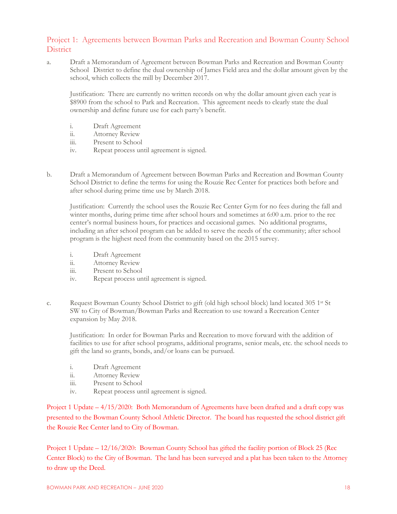## Project 1: Agreements between Bowman Parks and Recreation and Bowman County School **District**

a. Draft a Memorandum of Agreement between Bowman Parks and Recreation and Bowman County School District to define the dual ownership of James Field area and the dollar amount given by the school, which collects the mill by December 2017.

Justification: There are currently no written records on why the dollar amount given each year is \$8900 from the school to Park and Recreation. This agreement needs to clearly state the dual ownership and define future use for each party's benefit.

- i. Draft Agreement
- ii. Attorney Review
- iii. Present to School
- iv. Repeat process until agreement is signed.
- b. Draft a Memorandum of Agreement between Bowman Parks and Recreation and Bowman County School District to define the terms for using the Rouzie Rec Center for practices both before and after school during prime time use by March 2018.

Justification: Currently the school uses the Rouzie Rec Center Gym for no fees during the fall and winter months, during prime time after school hours and sometimes at 6:00 a.m. prior to the rec center's normal business hours, for practices and occasional games. No additional programs, including an after school program can be added to serve the needs of the community; after school program is the highest need from the community based on the 2015 survey.

- i. Draft Agreement
- ii. Attorney Review
- iii. Present to School
- iv. Repeat process until agreement is signed.
- c. Request Bowman County School District to gift (old high school block) land located 305 1<sup>st</sup> St SW to City of Bowman/Bowman Parks and Recreation to use toward a Recreation Center expansion by May 2018.

Justification: In order for Bowman Parks and Recreation to move forward with the addition of facilities to use for after school programs, additional programs, senior meals, etc. the school needs to gift the land so grants, bonds, and/or loans can be pursued.

- i. Draft Agreement
- ii. Attorney Review
- iii. Present to School
- iv. Repeat process until agreement is signed.

Project 1 Update – 4/15/2020: Both Memorandum of Agreements have been drafted and a draft copy was presented to the Bowman County School Athletic Director. The board has requested the school district gift the Rouzie Rec Center land to City of Bowman.

Project 1 Update – 12/16/2020: Bowman County School has gifted the facility portion of Block 25 (Rec Center Block) to the City of Bowman. The land has been surveyed and a plat has been taken to the Attorney to draw up the Deed.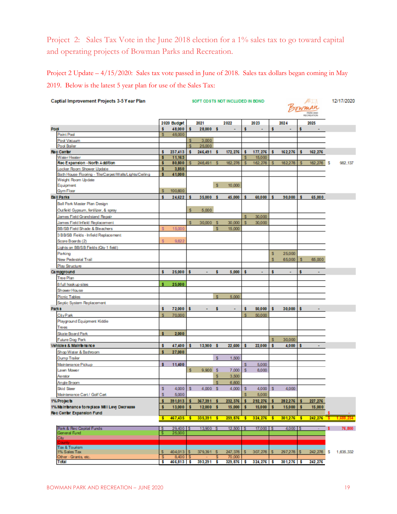Project 2: Sales Tax Vote in the June 2018 election for a 1% sales tax to go toward capital and operating projects of Bowman Parks and Recreation.

Project 2 Update – 4/15/2020: Sales tax vote passed in June of 2018. Sales tax dollars began coming in May 2019. Below is the latest 5 year plan for use of the Sales Tax:

| Captial Improvement Projects 3-5 Year Plan             | SOFT COSTS NOT INCLUDED IN BOND |             |     |              |     | ÆFJJA<br>owman<br><b>INFOCAND</b><br>RECREATION |    |                       |     | 12/17/2020     |   |         |     |            |
|--------------------------------------------------------|---------------------------------|-------------|-----|--------------|-----|-------------------------------------------------|----|-----------------------|-----|----------------|---|---------|-----|------------|
|                                                        |                                 | 2020 Budget |     | 2021         |     | 2022                                            |    | 2023                  |     | 2024           |   | 2025    |     |            |
| Pod                                                    | s                               | 48,000      | s   | 28,000 \$    |     | $\blacksquare$                                  | s  | $\blacksquare$        | s   | $\blacksquare$ | s |         |     |            |
| Paint Pool                                             | s                               | 48,000      |     |              |     |                                                 |    |                       |     |                |   |         |     |            |
| Pool Vacuum                                            |                                 |             | s   | 3,000        |     |                                                 |    |                       |     |                |   |         |     |            |
| Pool Boiler                                            |                                 |             | s   | 25,000       |     |                                                 |    |                       |     |                |   |         |     |            |
| <b>Rec Center</b>                                      | s                               | 237,413     | s   | 246.491      | s   | 172, 276                                        |    | 177,276               | s   | 162,276        | s | 162,276 |     |            |
| Water Heater                                           | s                               | 11,163      |     |              |     |                                                 | S  | 15,000                |     |                |   |         |     |            |
| Rec Expansion - North Addition                         | s                               | 80,800      | s   | 246,491      | s   | 162,276                                         | s  | 162,276               | s   | 162.276        | s | 162,276 | s   | 982.137    |
| Locker Room Shower Update                              | s                               | 3,850       |     |              |     |                                                 |    |                       |     |                |   |         |     |            |
| Bath House Flooring - Tile/Carpet/Walls/Lights/Ceiling | s                               | 41,000      |     |              |     |                                                 |    |                       |     |                |   |         |     |            |
| Weight Room Update<br>Equipment                        |                                 |             |     |              | s   | 10,000                                          |    |                       |     |                |   |         |     |            |
| Gym Floor                                              | s                               | 100,600     |     |              |     |                                                 |    |                       |     |                |   |         |     |            |
| <b>Ball Parks</b>                                      | ŝ                               | 24.622      | s   | 35,000       | - 5 | 45,000                                          |    | 60,000                | s   | 90,000         | s | 65,000  |     |            |
|                                                        |                                 |             |     |              |     |                                                 |    |                       |     |                |   |         |     |            |
| Ball Park Master Plan Design                           |                                 |             |     |              |     |                                                 |    |                       |     |                |   |         |     |            |
| Outfield Gypsum, fertilizer, & spray                   |                                 |             | s   | 5,000        |     |                                                 |    |                       |     |                |   |         |     |            |
| James Field Grandstand Repair                          |                                 |             |     |              |     |                                                 | s  | 30,000                |     |                |   |         |     |            |
| James Field Infield Replacement                        |                                 |             | s   | 30,000       | -S  | 30,000                                          | s  | 30,000                |     |                |   |         |     |            |
| BB/SB Field Shade & Bleachers                          | s                               | 15,000      |     |              | s   | 15,000                                          |    |                       |     |                |   |         |     |            |
| 3 BB/SB Fields - Infield Replacement                   |                                 |             |     |              |     |                                                 |    |                       |     |                |   |         |     |            |
| Score Boards (2)                                       | s                               | 9.622       |     |              |     |                                                 |    |                       |     |                |   |         |     |            |
| Lights on BB/SB Fields (Qty 1 field)                   |                                 |             |     |              |     |                                                 |    |                       |     |                |   |         |     |            |
| Parking                                                |                                 |             |     |              |     |                                                 |    |                       | s   | 25,000         |   |         |     |            |
| New Pedestrial Trail                                   |                                 |             |     |              |     |                                                 |    |                       | s   | 65,000         | s | 65,000  |     |            |
| Play Structure                                         |                                 |             |     |              |     |                                                 |    |                       |     |                |   |         |     |            |
| Campground                                             | s                               | 25,000      | s   |              | s   | 5,000                                           | s  | ٠                     | s   | ÷              | ŝ | ٠       |     |            |
| <b>Tree Plan</b>                                       |                                 |             |     |              |     |                                                 |    |                       |     |                |   |         |     |            |
| 8 full hook up sites                                   | s                               | 25,000      |     |              |     |                                                 |    |                       |     |                |   |         |     |            |
| Shower House                                           |                                 |             |     |              |     |                                                 |    |                       |     |                |   |         |     |            |
| <b>Picnic Tables</b>                                   |                                 |             |     |              | s   | 5.000                                           |    |                       |     |                |   |         |     |            |
| Septic System Replacement                              |                                 |             |     |              |     |                                                 |    |                       |     |                |   |         |     |            |
| <b>Parks</b>                                           | s                               | 72,000      | s   |              | s   |                                                 | s  | 50,000                | s   | 30,000         | s |         |     |            |
| CityPark                                               | s                               | 70,000      |     |              |     |                                                 | s  | 50,000                |     |                |   |         |     |            |
| Playground Equipment Kiddie                            |                                 |             |     |              |     |                                                 |    |                       |     |                |   |         |     |            |
| Trees                                                  |                                 |             |     |              |     |                                                 |    |                       |     |                |   |         |     |            |
| Skate Board Park                                       | s                               | 2,000       |     |              |     |                                                 |    |                       |     |                |   |         |     |            |
| Future Dog Park                                        |                                 |             |     |              |     |                                                 |    |                       | s   | 30,000         |   |         |     |            |
| Vehicles & Maintenance                                 | ŝ                               | 47,400      | s   | 13,900 \$    |     | 22,600                                          |    | 22,000                | s   | 4,000          | s |         |     |            |
| Shop Water & Bathroom                                  |                                 | 27,000      |     |              |     |                                                 |    |                       |     |                |   |         |     |            |
| <b>Dump Trailer</b>                                    |                                 |             |     |              | s   | 1,500                                           |    |                       |     |                |   |         |     |            |
| Maintenance Pickup                                     | s                               | 11,400      |     |              |     |                                                 | s  |                       |     |                |   |         |     |            |
| Lawn Mower                                             |                                 |             | s   | 9.900 S      |     | 7,000                                           | s  | 5,000<br>8.000        |     |                |   |         |     |            |
|                                                        |                                 |             |     |              |     |                                                 |    |                       |     |                |   |         |     |            |
| Aerator                                                |                                 |             |     |              | s   | 3,500                                           |    |                       |     |                |   |         |     |            |
| Angle Broom                                            |                                 |             |     |              | s   | 6,600                                           |    |                       |     |                |   |         |     |            |
| Skid Steer                                             | s                               | $4,000$ $S$ |     | 4,000 S      |     | 4,000                                           | s  | $4,000$ S             |     | 4,000          |   |         |     |            |
| Maintenance Cart / Golf Cart                           | s                               | 5,000       |     |              |     |                                                 | s  | 5,000                 |     |                |   |         |     |            |
| 1% Projects                                            | s                               | 391,013     | - 5 | 367,391 \$   |     | 232, 376                                        | s  | 292,276 \$            |     | 282,276        | s | 227,276 |     |            |
| 1% Maintenance to replace Mill Levy Decrease           | s                               | 13,000      | s   | $12,000$ \$  |     | 15,000                                          | ١s | 15,000                | - 5 | 15,000         | s | 15,000  |     |            |
| <b>Rec Center Expansion Fund</b>                       |                                 | 467,435     |     |              |     |                                                 |    |                       |     |                |   |         |     |            |
|                                                        | s                               |             | s   | $335,391$ \$ |     | 259,876                                         | s  | 324,276               | 3   | 301,276        | s | 242,276 |     | $5 - 1.63$ |
| Park & Rec Capital Funds                               | s                               | 29,400      |     | 13,900 S     |     | $12,500$ S                                      |    | 17,000 S              |     | $4,000$ S      |   |         | \$. | 76,800     |
| General Fund                                           | s                               | 25,000      |     |              |     |                                                 |    |                       |     |                |   |         |     |            |
| City                                                   |                                 |             |     |              |     |                                                 |    |                       |     |                |   |         |     |            |
| Tax & Tourism                                          |                                 |             |     |              |     |                                                 |    |                       |     |                |   |         |     |            |
| 1% Sales Tax                                           | s                               | 404,013 S   |     | 379,391 S    |     | 247,376                                         | s  | 307,276               | s   | 297,276        | s | 242,276 | s   | 1,635,332  |
| Other - Grants, etc.                                   | s                               | $8,400$ S   |     |              | s   | 70,000                                          |    |                       |     |                |   |         |     |            |
| Total                                                  | s                               | 466,813 \$  |     | 393,291 \$   |     |                                                 |    | 329,876 \$ 324,276 \$ |     | $301,276$ \$   |   | 242,276 |     |            |